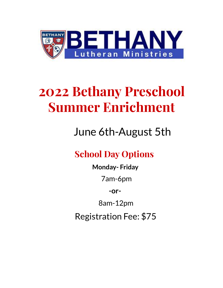

# **2022 Bethany Preschool Summer Enrichment**

## June 6th-August 5th

### **School Day Options**

**Monday- Friday** 7am-6pm **-or-**8am-12pm Registration Fee: \$75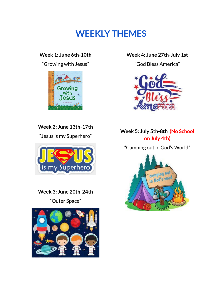### **WEEKLY THEMES**

#### **Week 1: June 6th-10th**

"Growing with Jesus"



**Week 2: June 13th-17th**

"Jesus is my Superhero"



**Week 3: June 20th-24th**

"Outer Space"



#### **Week 4: June 27th-July 1st**

"God Bless America"



#### **Week 5: July 5th-8th (No School on July 4th)**

"Camping out in God's World"

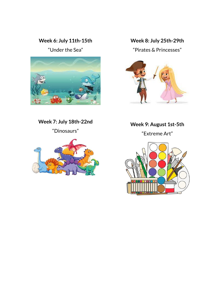#### **Week 6: July 11th-15th**

"Under the Sea"



#### **Week 8: July 25th-29th**

"Pirates & Princesses"



**Week 7: July 18th-22nd**

"Dinosaurs"



**Week 9: August 1st-5th**

"Extreme Art"

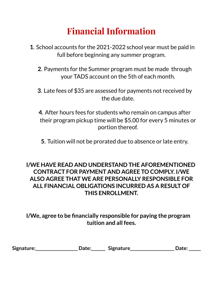### **Financial Information**

- **1**. School accounts for the 2021-2022 school year must be paid in full before beginning any summer program.
	- **2**. Payments for the Summer program must be made through your TADS account on the 5th of each month.
	- **3**. Late fees of \$35 are assessed for payments not received by the due date.

**4**. After hours fees for students who remain on campus after their program pickup time will be \$5.00 for every 5 minutes or portion thereof.

**5**. Tuition will not be prorated due to absence or late entry.

#### **I/WE HAVE READ AND UNDERSTAND THE AFOREMENTIONED CONTRACT FOR PAYMENT AND AGREE TO COMPLY. I/WE ALSO AGREE THAT WE ARE PERSONALLY RESPONSIBLE FOR ALL FINANCIAL OBLIGATIONS INCURRED AS A RESULT OF THIS ENROLLMENT.**

**I/We, agree to be financially responsible for paying the program tuition and all fees.**

|  | Signature: | <b>Date:</b> | <b>Signature</b> | <b>Date:</b> |
|--|------------|--------------|------------------|--------------|
|--|------------|--------------|------------------|--------------|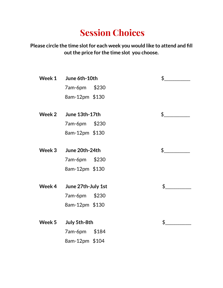### **Session Choices**

**Please circle the time slotfor each week you would like to attend and fill outthe price for the time slot you choose.**

| Week 1 | June 6th-10th      |       | \$  |
|--------|--------------------|-------|-----|
|        | 7am-6pm            | \$230 |     |
|        | 8am-12pm \$130     |       |     |
|        |                    |       |     |
| Week 2 | June 13th-17th     |       | \$_ |
|        | 7am-6pm            | \$230 |     |
|        | 8am-12pm \$130     |       |     |
|        |                    |       |     |
| Week 3 | June 20th-24th     |       | \$_ |
|        | 7am-6pm            | \$230 |     |
|        | 8am-12pm \$130     |       |     |
|        |                    |       |     |
| Week 4 | June 27th-July 1st |       | \$_ |
|        | 7am-6pm            | \$230 |     |
|        | 8am-12pm \$130     |       |     |
|        |                    |       |     |
| Week 5 | July 5th-8th       |       | \$  |
|        | 7am-6pm            | \$184 |     |
|        | 8am-12pm \$104     |       |     |